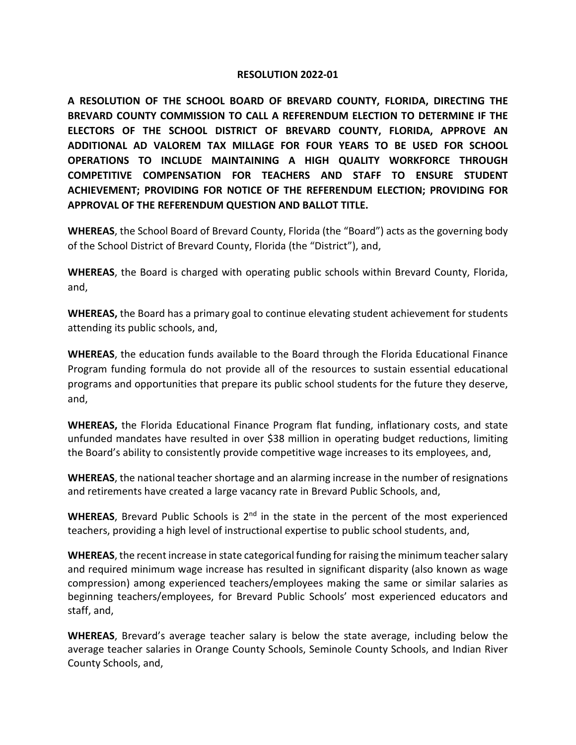### **RESOLUTION 2022-01**

**A RESOLUTION OF THE SCHOOL BOARD OF BREVARD COUNTY, FLORIDA, DIRECTING THE BREVARD COUNTY COMMISSION TO CALL A REFERENDUM ELECTION TO DETERMINE IF THE ELECTORS OF THE SCHOOL DISTRICT OF BREVARD COUNTY, FLORIDA, APPROVE AN ADDITIONAL AD VALOREM TAX MILLAGE FOR FOUR YEARS TO BE USED FOR SCHOOL OPERATIONS TO INCLUDE MAINTAINING A HIGH QUALITY WORKFORCE THROUGH COMPETITIVE COMPENSATION FOR TEACHERS AND STAFF TO ENSURE STUDENT ACHIEVEMENT; PROVIDING FOR NOTICE OF THE REFERENDUM ELECTION; PROVIDING FOR APPROVAL OF THE REFERENDUM QUESTION AND BALLOT TITLE.**

**WHEREAS**, the School Board of Brevard County, Florida (the "Board") acts as the governing body of the School District of Brevard County, Florida (the "District"), and,

**WHEREAS**, the Board is charged with operating public schools within Brevard County, Florida, and,

**WHEREAS,** the Board has a primary goal to continue elevating student achievement for students attending its public schools, and,

**WHEREAS**, the education funds available to the Board through the Florida Educational Finance Program funding formula do not provide all of the resources to sustain essential educational programs and opportunities that prepare its public school students for the future they deserve, and,

**WHEREAS,** the Florida Educational Finance Program flat funding, inflationary costs, and state unfunded mandates have resulted in over \$38 million in operating budget reductions, limiting the Board's ability to consistently provide competitive wage increases to its employees, and,

**WHEREAS**, the national teacher shortage and an alarming increase in the number of resignations and retirements have created a large vacancy rate in Brevard Public Schools, and,

WHEREAS, Brevard Public Schools is 2<sup>nd</sup> in the state in the percent of the most experienced teachers, providing a high level of instructional expertise to public school students, and,

**WHEREAS**, the recent increase in state categorical funding for raising the minimum teacher salary and required minimum wage increase has resulted in significant disparity (also known as wage compression) among experienced teachers/employees making the same or similar salaries as beginning teachers/employees, for Brevard Public Schools' most experienced educators and staff, and,

**WHEREAS**, Brevard's average teacher salary is below the state average, including below the average teacher salaries in Orange County Schools, Seminole County Schools, and Indian River County Schools, and,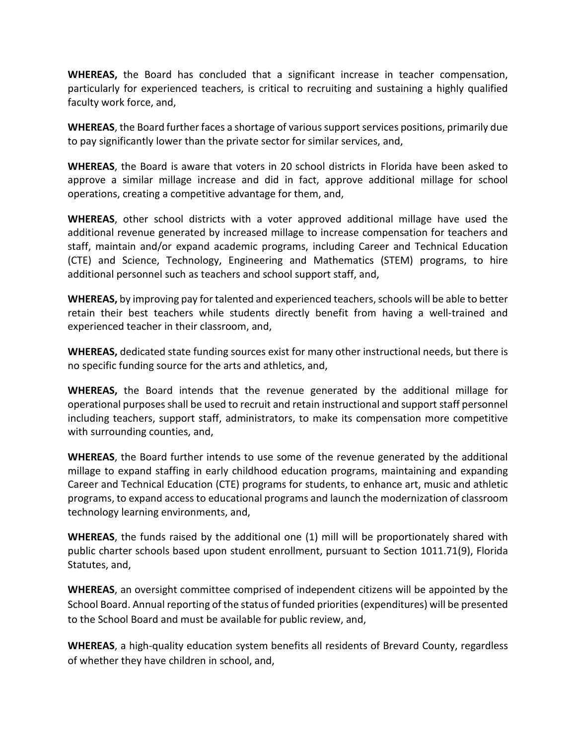**WHEREAS,** the Board has concluded that a significant increase in teacher compensation, particularly for experienced teachers, is critical to recruiting and sustaining a highly qualified faculty work force, and,

**WHEREAS**, the Board further faces a shortage of various support services positions, primarily due to pay significantly lower than the private sector for similar services, and,

**WHEREAS**, the Board is aware that voters in 20 school districts in Florida have been asked to approve a similar millage increase and did in fact, approve additional millage for school operations, creating a competitive advantage for them, and,

**WHEREAS**, other school districts with a voter approved additional millage have used the additional revenue generated by increased millage to increase compensation for teachers and staff, maintain and/or expand academic programs, including Career and Technical Education (CTE) and Science, Technology, Engineering and Mathematics (STEM) programs, to hire additional personnel such as teachers and school support staff, and,

**WHEREAS,** by improving pay for talented and experienced teachers, schools will be able to better retain their best teachers while students directly benefit from having a well-trained and experienced teacher in their classroom, and,

**WHEREAS,** dedicated state funding sources exist for many other instructional needs, but there is no specific funding source for the arts and athletics, and,

**WHEREAS,** the Board intends that the revenue generated by the additional millage for operational purposes shall be used to recruit and retain instructional and support staff personnel including teachers, support staff, administrators, to make its compensation more competitive with surrounding counties, and,

**WHEREAS**, the Board further intends to use some of the revenue generated by the additional millage to expand staffing in early childhood education programs, maintaining and expanding Career and Technical Education (CTE) programs for students, to enhance art, music and athletic programs, to expand access to educational programs and launch the modernization of classroom technology learning environments, and,

**WHEREAS**, the funds raised by the additional one (1) mill will be proportionately shared with public charter schools based upon student enrollment, pursuant to Section 1011.71(9), Florida Statutes, and,

**WHEREAS**, an oversight committee comprised of independent citizens will be appointed by the School Board. Annual reporting of the status of funded priorities (expenditures) will be presented to the School Board and must be available for public review, and,

**WHEREAS**, a high-quality education system benefits all residents of Brevard County, regardless of whether they have children in school, and,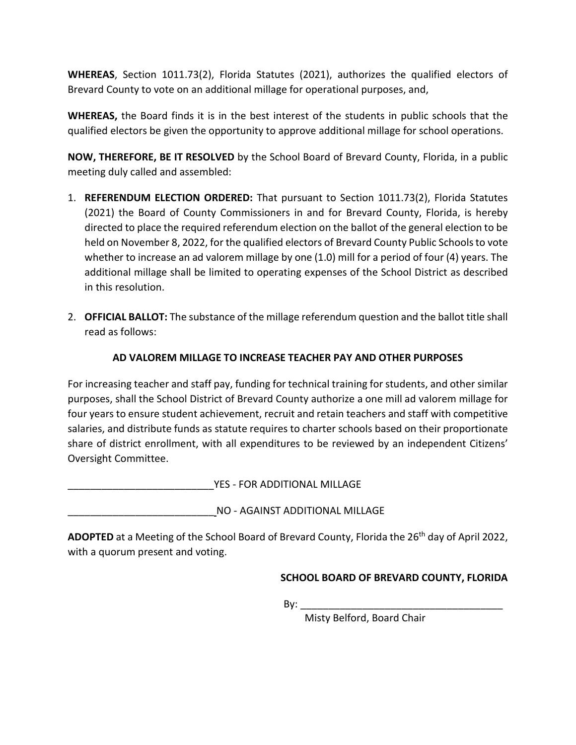**WHEREAS**, Section 1011.73(2), Florida Statutes (2021), authorizes the qualified electors of Brevard County to vote on an additional millage for operational purposes, and,

**WHEREAS,** the Board finds it is in the best interest of the students in public schools that the qualified electors be given the opportunity to approve additional millage for school operations.

**NOW, THEREFORE, BE IT RESOLVED** by the School Board of Brevard County, Florida, in a public meeting duly called and assembled:

- 1. **REFERENDUM ELECTION ORDERED:** That pursuant to Section 1011.73(2), Florida Statutes (2021) the Board of County Commissioners in and for Brevard County, Florida, is hereby directed to place the required referendum election on the ballot of the general election to be held on November 8, 2022, for the qualified electors of Brevard County Public Schoolsto vote whether to increase an ad valorem millage by one (1.0) mill for a period of four (4) years. The additional millage shall be limited to operating expenses of the School District as described in this resolution.
- 2. **OFFICIAL BALLOT:** The substance of the millage referendum question and the ballot title shall read as follows:

# **AD VALOREM MILLAGE TO INCREASE TEACHER PAY AND OTHER PURPOSES**

For increasing teacher and staff pay, funding for technical training for students, and other similar purposes, shall the School District of Brevard County authorize a one mill ad valorem millage for four years to ensure student achievement, recruit and retain teachers and staff with competitive salaries, and distribute funds as statute requires to charter schools based on their proportionate share of district enrollment, with all expenditures to be reviewed by an independent Citizens' Oversight Committee.

\_\_\_\_\_\_\_\_\_\_\_\_\_\_\_\_\_\_\_\_\_\_\_\_\_\_YES - FOR ADDITIONAL MILLAGE

\_\_\_\_\_\_\_\_\_\_\_\_\_\_\_\_\_\_\_\_\_\_\_\_\_\_ NO - AGAINST ADDITIONAL MILLAGE

**ADOPTED** at a Meeting of the School Board of Brevard County, Florida the 26th day of April 2022, with a quorum present and voting.

## **SCHOOL BOARD OF BREVARD COUNTY, FLORIDA**

 $\mathsf{By:}$ 

Misty Belford, Board Chair